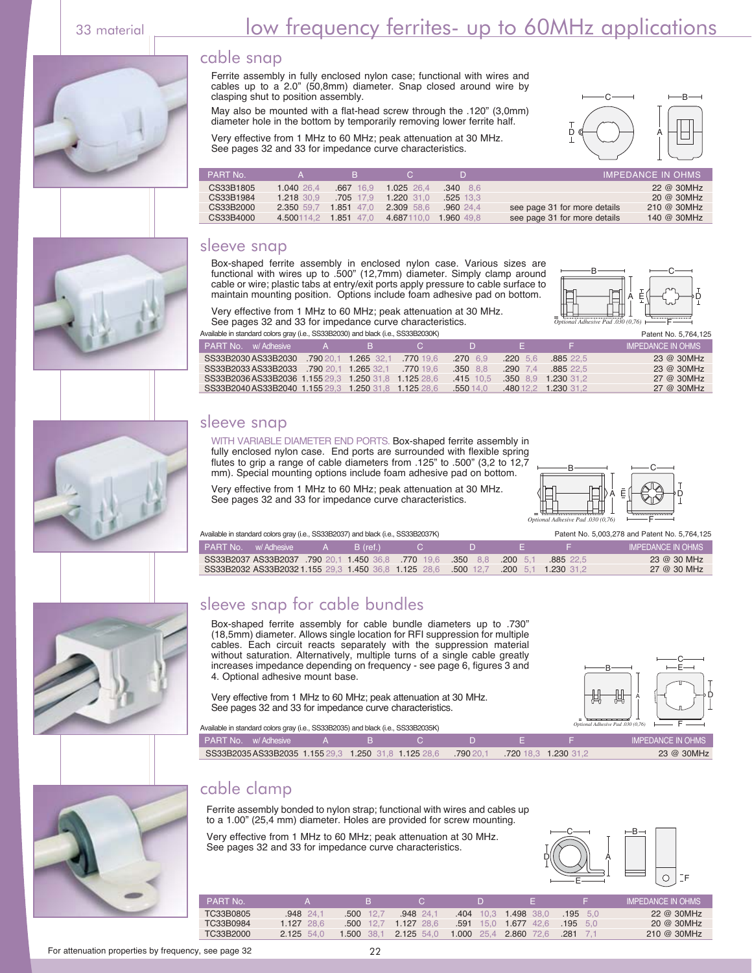#### cable snap

Ferrite assembly in fully enclosed nylon case; functional with wires and cables up to a 2.0" (50,8mm) diameter. Snap closed around wire by clasping shut to position assembly.

May also be mounted with a flat-head screw through the .120" (3,0mm) diameter hole in the bottom by temporarily removing lower ferrite half.

Very effective from 1 MHz to 60 MHz; peak attenuation at 30 MHz. See pages 32 and 33 for impedance curve characteristics.



| PART No.  |            | <b>B</b>    | $\mathbf{C}$ |                 |                              | <b>IMPEDANCE IN OHMS</b> |
|-----------|------------|-------------|--------------|-----------------|------------------------------|--------------------------|
| CS33B1805 | 1.040 26.4 | $.667$ 16.9 | $1.025$ 26.4 | $.340\quad 8.6$ |                              | 22 @ 30MHz               |
| CS33B1984 | 1.218 30.9 | $.705$ 17.9 | $1.220$ 31.0 | $.525$ 13.3     |                              | 20 @ 30MHz               |
| CS33B2000 | 2.350 59.7 | 1.851 47.0  | 2.309 58.6   | .96024.4        | see page 31 for more details | $210 \ @ \ 30MHz$        |
| CS33B4000 | 4.500114.2 | 1.851 47.0  | 4.687110.0   | 1.960 49.8      | see page 31 for more details | 140 @ 30MHz              |

#### sleeve snap

Box-shaped ferrite assembly in enclosed nylon case. Various sizes are functional with wires up to .500" (12,7mm) diameter. Simply clamp around cable or wire; plastic tabs at entry/exit ports apply pressure to cable surface to maintain mounting position. Options include foam adhesive pad on bottom.



Very effective from 1 MHz to 60 MHz; peak attenuation at 30 MHz. See pages 32 and 33 for impedance curve characteristics. vailable in standard colors gray (i.e., SS33B2030) and black (i.e., SS33B2030K)

| <b>PART No.</b> w/ Adhesive |                                                      | $\mathbf{A}$ | and Black | - 62      |                  | . .          |                     | IMPEDANCE IN OHMS |
|-----------------------------|------------------------------------------------------|--------------|-----------|-----------|------------------|--------------|---------------------|-------------------|
|                             | SS33B2030AS33B2030 .790 20.1 1.265 32.1              |              |           | .770 19.6 | $.270 \quad 6.9$ | $.220 \t5.6$ | .88522.5            | 23 @ 30MHz        |
|                             | SS33B2033AS33B2033 .790 20.1 1.265 32.1              |              |           | .770 19.6 | $.350$ 8.8       | $.290$ 7.4   | .88522.5            | 23 @ 30MHz        |
|                             | SS33B2036AS33B2036 1.155 29.3 1.250 31.8 1.125 28.6  |              |           |           | .415 10.5        |              | .350 8.9 1.230 31.2 | $27$ @ 30MHz      |
|                             | SS33B2040 AS33B2040 1.155 29.3 1.250 31.8 1.125 28.6 |              |           |           | .550 14.0        |              | 480 12.2 1.230 31.2 | 27 @ 30MHz        |

#### sleeve snap

WITH VARIABLE DIAMETER END PORTS. Box-shaped ferrite assembly in fully enclosed nylon case. End ports are surrounded with flexible spring flutes to grip a range of cable diameters from .125" to .500" (3,2 to 12,7 mm). Special mounting options include foam adhesive pad on bottom.

Very effective from 1 MHz to 60 MHz; peak attenuation at 30 MHz. See pages 32 and 33 for impedance curve characteristics.



Available in standard colors gray (i.e., SS33B2037) and black (i.e., SS33B2037K)

| Patent No. 5,003,278 and Patent No. 5,764,125 |  |  |  |  |
|-----------------------------------------------|--|--|--|--|
|                                               |  |  |  |  |

| <b>PART No.</b> w/Adhesive |  | $A$ B (ref.) |                                                                                    |  | IMPEDANCE IN OHMS |
|----------------------------|--|--------------|------------------------------------------------------------------------------------|--|-------------------|
|                            |  |              | SS33B2037 AS33B2037 790 20.1 1.450 36.8 770 19.6 .350 8.8 200 5.1 .885 22.5        |  | 23 @ 30 MHz       |
|                            |  |              | SS33B2032 AS33B2032 1.155 29.3 1.450 36.8 1.125 28.6 .500 12.7 .200 5.1 1.230 31.2 |  | 27 @ 30 MHz       |

## sleeve snap for cable bundles

Box-shaped ferrite assembly for cable bundle diameters up to .730" (18,5mm) diameter. Allows single location for RFI suppression for multiple cables. Each circuit reacts separately with the suppression material without saturation. Alternatively, multiple turns of a single cable greatly increases impedance depending on frequency - see page 6, figures 3 and 4. Optional adhesive mount base.

Very effective from 1 MHz to 60 MHz; peak attenuation at 30 MHz. See pages 32 and 33 for impedance curve characteristics.



PEDANCE IN OI

SS33B2035 AS33B2035 1.155 29,3 1.250 31,8 1.125 28,6 .790 20,1 .720 18,3 1.230 31,2 23 @ 30MHz PART No. w/ Adhesive A B C D Available in standard colors gray (i.e., SS33B2035) and black (i.e., SS33B2035K)

#### cable clamp

Ferrite assembly bonded to nylon strap; functional with wires and cables up to a 1.00" (25,4 mm) diameter. Holes are provided for screw mounting.

Very effective from 1 MHz to 60 MHz; peak attenuation at 30 MHz. See pages 32 and 33 for impedance curve characteristics.



| <b>PART No</b> |              | в             |              |            |                 |                  | <b>IMPEDANCE IN OHMS</b> |
|----------------|--------------|---------------|--------------|------------|-----------------|------------------|--------------------------|
| TC33B0805      | 948 24.1     | .500          | .94824.7     | .404       | 10.3 1.498 38.0 | $.195$ 5.0       | 22 @ 30MHz               |
| TC33B0984      | $1.127$ 28.6 | .500<br>-12.7 | $1.127$ 28.6 | .591       | 15.0 1.677 42.6 | $.195$ 5.0       | 20 @ 30MHz               |
| TC33B2000      | 2.125 54.0   | .500<br>-38.1 | $2.125$ 54.0 | 1.000 25.4 | 2.860 72.6      | $.281 \quad 7.1$ | $210 \ @ \ 30MHz$        |